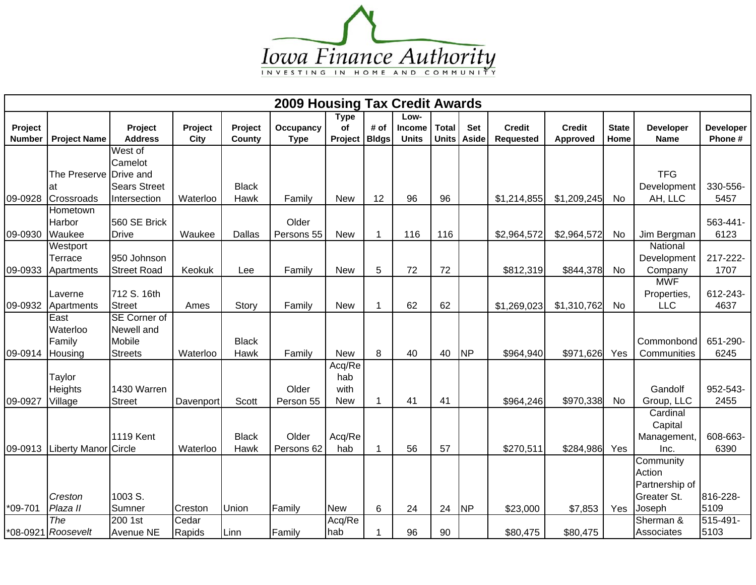

| <b>2009 Housing Tax Credit Awards</b> |                                |                     |           |               |             |             |              |               |              |                |                  |                 |              |                         |                  |
|---------------------------------------|--------------------------------|---------------------|-----------|---------------|-------------|-------------|--------------|---------------|--------------|----------------|------------------|-----------------|--------------|-------------------------|------------------|
|                                       |                                |                     |           |               |             | <b>Type</b> |              | Low-          |              |                |                  |                 |              |                         |                  |
| Project                               |                                | Project             | Project   | Project       | Occupancy   | <b>of</b>   | # of         | <b>Income</b> | <b>Total</b> | Set            | <b>Credit</b>    | <b>Credit</b>   | <b>State</b> | <b>Developer</b>        | <b>Developer</b> |
| <b>Number</b>                         | <b>Project Name</b>            | <b>Address</b>      | City      | County        | <b>Type</b> | Project     | <b>Bldgs</b> | <b>Units</b>  | <b>Units</b> | Aside          | <b>Requested</b> | <b>Approved</b> | Home         | <b>Name</b>             | Phone #          |
|                                       |                                | West of             |           |               |             |             |              |               |              |                |                  |                 |              |                         |                  |
|                                       |                                | Camelot             |           |               |             |             |              |               |              |                |                  |                 |              |                         |                  |
|                                       | The Preserve Drive and         |                     |           |               |             |             |              |               |              |                |                  |                 |              | <b>TFG</b>              |                  |
|                                       | at                             | <b>Sears Street</b> |           | <b>Black</b>  |             |             |              |               |              |                |                  |                 |              | Development             | 330-556-         |
| 09-0928                               | Crossroads                     | Intersection        | Waterloo  | Hawk          | Family      | <b>New</b>  | 12           | 96            | 96           |                | \$1,214,855      | \$1,209,245     | No           | AH, LLC                 | 5457             |
|                                       | Hometown                       |                     |           |               |             |             |              |               |              |                |                  |                 |              |                         |                  |
|                                       | Harbor                         | 560 SE Brick        |           |               | Older       |             |              |               |              |                |                  |                 |              |                         | 563-441-         |
| 09-0930                               | Waukee                         | <b>Drive</b>        | Waukee    | <b>Dallas</b> | Persons 55  | <b>New</b>  | 1            | 116           | 116          |                | \$2,964,572      | \$2,964,572     | <b>No</b>    | Jim Bergman<br>National | 6123             |
|                                       | Westport<br>Terrace            | 950 Johnson         |           |               |             |             |              |               |              |                |                  |                 |              | Development             | 217-222-         |
| 09-0933                               | Apartments                     | <b>Street Road</b>  | Keokuk    | Lee           | Family      | <b>New</b>  | 5            | 72            | 72           |                | \$812,319        | \$844,378       | No           | Company                 | 1707             |
|                                       |                                |                     |           |               |             |             |              |               |              |                |                  |                 |              | <b>MWF</b>              |                  |
|                                       | Laverne                        | 712 S. 16th         |           |               |             |             |              |               |              |                |                  |                 |              | Properties,             | 612-243-         |
| 09-0932                               | Apartments                     | <b>Street</b>       | Ames      | Story         | Family      | <b>New</b>  | 1            | 62            | 62           |                | \$1,269,023      | \$1,310,762     | <b>No</b>    | <b>LLC</b>              | 4637             |
|                                       | East                           | <b>SE Corner of</b> |           |               |             |             |              |               |              |                |                  |                 |              |                         |                  |
|                                       | Waterloo                       | Newell and          |           |               |             |             |              |               |              |                |                  |                 |              |                         |                  |
|                                       | Family                         | Mobile              |           | <b>Black</b>  |             |             |              |               |              |                |                  |                 |              | Commonbond              | 651-290-         |
| 09-0914                               | Housing                        | <b>Streets</b>      | Waterloo  | Hawk          | Family      | <b>New</b>  | 8            | 40            | 40           | <b>NP</b>      | \$964,940        | \$971,626       | Yes          | Communities             | 6245             |
|                                       |                                |                     |           |               |             | Acq/Re      |              |               |              |                |                  |                 |              |                         |                  |
|                                       | Taylor                         |                     |           |               |             | hab         |              |               |              |                |                  |                 |              |                         |                  |
|                                       | Heights                        | 1430 Warren         |           |               | Older       | with        |              |               |              |                |                  |                 |              | Gandolf                 | 952-543-         |
| 09-0927                               | Village                        | <b>Street</b>       | Davenport | Scott         | Person 55   | <b>New</b>  | -1           | 41            | 41           |                | \$964,246        | \$970,338       | <b>No</b>    | Group, LLC              | 2455             |
|                                       |                                |                     |           |               |             |             |              |               |              |                |                  |                 |              | Cardinal                |                  |
|                                       |                                |                     |           |               |             |             |              |               |              |                |                  |                 |              | Capital                 |                  |
|                                       |                                | <b>1119 Kent</b>    |           | <b>Black</b>  | Older       | Acq/Re      |              |               |              |                |                  |                 |              | Management,             | 608-663-         |
|                                       | 09-0913   Liberty Manor Circle |                     | Waterloo  | Hawk          | Persons 62  | hab         |              | 56            | 57           |                | \$270,511        | \$284,986       | Yes          | Inc.                    | 6390             |
|                                       |                                |                     |           |               |             |             |              |               |              |                |                  |                 |              | Community               |                  |
|                                       |                                |                     |           |               |             |             |              |               |              |                |                  |                 |              | Action                  |                  |
|                                       |                                |                     |           |               |             |             |              |               |              |                |                  |                 |              | Partnership of          |                  |
|                                       | Creston                        | 1003 S.             |           |               |             |             |              |               |              |                |                  |                 |              | Greater St.             | 816-228-         |
| $*09-701$                             | Plaza II                       | Sumner              | Creston   | Union         | Family      | <b>New</b>  | 6            | 24            | 24           | N <sub>P</sub> | \$23,000         | \$7,853         | Yes          | Joseph                  | 5109             |
|                                       | The                            | 200 1st             | Cedar     |               |             | Acq/Re      |              |               |              |                |                  |                 |              | Sherman &               | 515-491-         |
|                                       | *08-0921 Roosevelt             | <b>Avenue NE</b>    | Rapids    | Linn          | Family      | hab         |              | 96            | 90           |                | \$80,475         | \$80,475        |              | Associates              | 5103             |